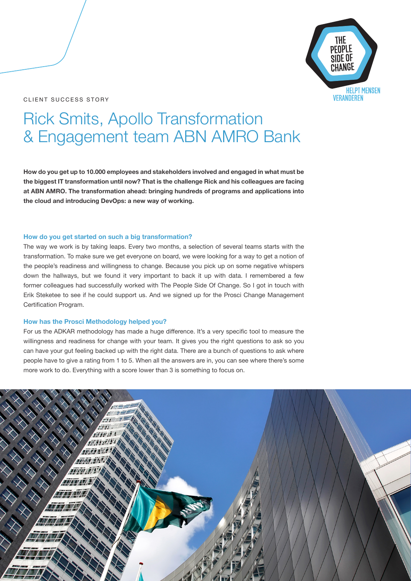## CLIENT SUCCESS STORY



# Rick Smits, Apollo Transformation & Engagement team ABN AMRO Bank

**How do you get up to 10.000 employees and stakeholders involved and engaged in what must be the biggest IT transformation until now? That is the challenge Rick and his colleagues are facing at ABN AMRO. The transformation ahead: bringing hundreds of programs and applications into the cloud and introducing DevOps: a new way of working.** 

#### **How do you get started on such a big transformation?**

The way we work is by taking leaps. Every two months, a selection of several teams starts with the transformation. To make sure we get everyone on board, we were looking for a way to get a notion of the people's readiness and willingness to change. Because you pick up on some negative whispers down the hallways, but we found it very important to back it up with data. I remembered a few former colleagues had successfully worked with The People Side Of Change. So I got in touch with Erik Steketee to see if he could support us. And we signed up for the Prosci Change Management Certification Program.

### **How has the Prosci Methodology helped you?**

For us the ADKAR methodology has made a huge difference. It's a very specific tool to measure the willingness and readiness for change with your team. It gives you the right questions to ask so you can have your gut feeling backed up with the right data. There are a bunch of questions to ask where people have to give a rating from 1 to 5. When all the answers are in, you can see where there's some more work to do. Everything with a score lower than 3 is something to focus on.